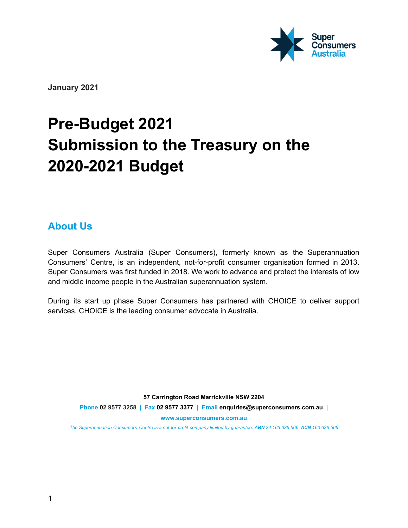

**January 2021**

# **Pre-Budget 2021 Submission to the Treasury on the 2020-2021 Budget**

# **About Us**

Super Consumers Australia (Super Consumers), formerly known as the Superannuation Consumers' Centre**,** is an independent, not-for-profit consumer organisation formed in 2013. Super Consumers was first funded in 2018. We work to advance and protect the interests of low and middle income people in the Australian superannuation system.

During its start up phase Super Consumers has partnered with CHOICE to deliver support services. CHOICE is the leading consumer advocate in Australia.

**57 Carrington Road Marrickville NSW 2204 Phone 02 9577 3258 | Fax 02 9577 3377 | Email enquiries@superconsumers.com.au | www.superconsumers.com.au**

The Superannuation Consumers' Centre is a not-for-profit company limited by guarantee. ABN 34 163 636 566 ACN 163 636 566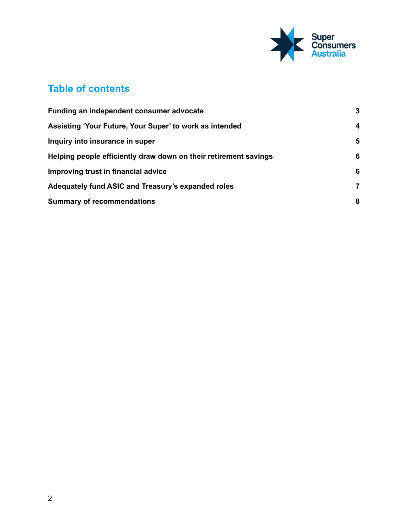

# **Table of contents**

| Funding an independent consumer advocate                         | $\mathbf{3}$     |
|------------------------------------------------------------------|------------------|
| Assisting 'Your Future, Your Super' to work as intended          | $\boldsymbol{4}$ |
| Inquiry into insurance in super                                  | 5                |
| Helping people efficiently draw down on their retirement savings | 6                |
| Improving trust in financial advice                              | 6                |
| Adequately fund ASIC and Treasury's expanded roles               | 7                |
| <b>Summary of recommendations</b>                                | 8                |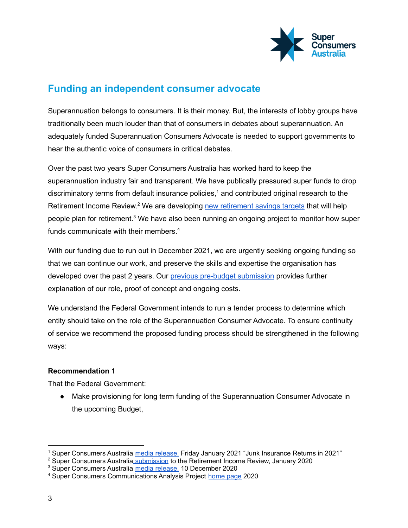

# <span id="page-2-0"></span>**Funding an independent consumer advocate**

Superannuation belongs to consumers. It is their money. But, the interests of lobby groups have traditionally been much louder than that of consumers in debates about superannuation. An adequately funded Superannuation Consumers Advocate is needed to support governments to hear the authentic voice of consumers in critical debates.

Over the past two years Super Consumers Australia has worked hard to keep the superannuation industry fair and transparent. We have publically pressured super funds to drop discriminatory terms from default insurance policies, <sup>1</sup> and contributed original research to the Retirement Income Review.<sup>2</sup> We are developing new [retirement](https://static1.squarespace.com/static/5d2828f4ce1ef00001f592bb/t/5fd6e6ed481cfa31addb474f/1607919341778/Super+industry+misleading+Australians+about+their+retirement+needs_+Super+Consumers.pdf) savings targets that will help people plan for retirement.<sup>3</sup> We have also been running an ongoing project to monitor how super funds communicate with their members. 4

With our funding due to run out in December 2021, we are urgently seeking ongoing funding so that we can continue our work, and preserve the skills and expertise the organisation has developed over the past 2 years. Our previous pre-budget [submission](https://static1.squarespace.com/static/5d2828f4ce1ef00001f592bb/t/5f4363a561f8cf24f5dbac3e/1598251947614/Super+Consumers+Australia+Pre-Budget+submission+2020-21.pdf) provides further explanation of our role, proof of concept and ongoing costs.

We understand the Federal Government intends to run a tender process to determine which entity should take on the role of the Superannuation Consumer Advocate. To ensure continuity of service we recommend the proposed funding process should be strengthened in the following ways:

#### **Recommendation 1**

That the Federal Government:

● Make provisioning for long term funding of the Superannuation Consumer Advocate in the upcoming Budget,

<sup>1</sup> Super Consumers Australia media [release,](https://www.superconsumers.com.au/s/Junk-insurance-returns-2021.pdf) Friday January 2021 "Junk Insurance Returns in 2021"

<sup>&</sup>lt;sup>2</sup> Super Consumers Australia [submission](https://static1.squarespace.com/static/5d2828f4ce1ef00001f592bb/t/5e40e104120d25193d95e0a9/1581310217333/Super+Consumers+Australia+Retirement+Income+Review+Submission+%281%29+%281%29.pdf) to the Retirement Income Review, January 2020

<sup>&</sup>lt;sup>3</sup> Super Consumers Australia media [release,](https://static1.squarespace.com/static/5d2828f4ce1ef00001f592bb/t/5fd6e6ed481cfa31addb474f/1607919341778/Super+industry+misleading+Australians+about+their+retirement+needs_+Super+Consumers.pdf) 10 December 2020

<sup>4</sup> Super Consumers Communications Analysis Project [home](https://action.choice.com.au/page/64555/survey/1) page 2020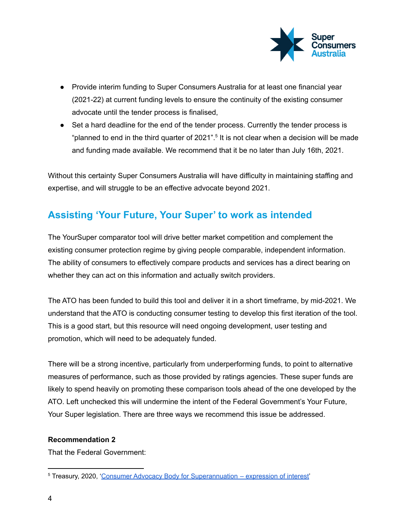

- Provide interim funding to Super Consumers Australia for at least one financial year (2021-22) at current funding levels to ensure the continuity of the existing consumer advocate until the tender process is finalised,
- Set a hard deadline for the end of the tender process. Currently the tender process is "planned to end in the third quarter of 2021".<sup>5</sup> It is not clear when a decision will be made and funding made available. We recommend that it be no later than July 16th, 2021.

Without this certainty Super Consumers Australia will have difficulty in maintaining staffing and expertise, and will struggle to be an effective advocate beyond 2021.

# <span id="page-3-0"></span>**Assisting 'Your Future, Your Super' to work as intended**

The YourSuper comparator tool will drive better market competition and complement the existing consumer protection regime by giving people comparable, independent information. The ability of consumers to effectively compare products and services has a direct bearing on whether they can act on this information and actually switch providers.

The ATO has been funded to build this tool and deliver it in a short timeframe, by mid-2021. We understand that the ATO is conducting consumer testing to develop this first iteration of the tool. This is a good start, but this resource will need ongoing development, user testing and promotion, which will need to be adequately funded.

There will be a strong incentive, particularly from underperforming funds, to point to alternative measures of performance, such as those provided by ratings agencies. These super funds are likely to spend heavily on promoting these comparison tools ahead of the one developed by the ATO. Left unchecked this will undermine the intent of the Federal Government's Your Future, Your Super legislation. There are three ways we recommend this issue be addressed.

#### **Recommendation 2**

That the Federal Government:

<sup>5</sup> Treasury, 2020, 'Consumer Advocacy Body for [Superannuation](https://treasury.gov.au/consultation/c2019-38640) – expression of interest'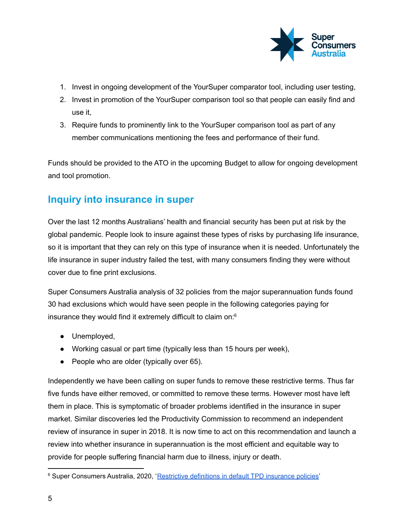

- 1. Invest in ongoing development of the YourSuper comparator tool, including user testing,
- 2. Invest in promotion of the YourSuper comparison tool so that people can easily find and use it,
- 3. Require funds to prominently link to the YourSuper comparison tool as part of any member communications mentioning the fees and performance of their fund.

Funds should be provided to the ATO in the upcoming Budget to allow for ongoing development and tool promotion.

## <span id="page-4-0"></span>**Inquiry into insurance in super**

Over the last 12 months Australians' health and financial security has been put at risk by the global pandemic. People look to insure against these types of risks by purchasing life insurance, so it is important that they can rely on this type of insurance when it is needed. Unfortunately the life insurance in super industry failed the test, with many consumers finding they were without cover due to fine print exclusions.

Super Consumers Australia analysis of 32 policies from the major superannuation funds found 30 had exclusions which would have seen people in the following categories paying for insurance they would find it extremely difficult to claim on: $6$ 

- Unemployed,
- Working casual or part time (typically less than 15 hours per week),
- People who are older (typically over 65).

Independently we have been calling on super funds to remove these restrictive terms. Thus far five funds have either removed, or committed to remove these terms. However most have left them in place. This is symptomatic of broader problems identified in the insurance in super market. Similar discoveries led the Productivity Commission to recommend an independent review of insurance in super in 2018. It is now time to act on this recommendation and launch a review into whether insurance in superannuation is the most efficient and equitable way to provide for people suffering financial harm due to illness, injury or death.

<sup>&</sup>lt;sup>6</sup> Super Consumers Australia, 2020, '[Restrictive](https://superblog.netlify.app/2020/07/08/tpd/) definitions in default TPD insurance policies'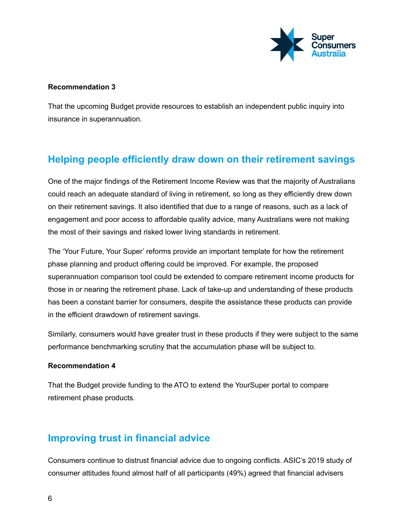

#### **Recommendation 3**

That the upcoming Budget provide resources to establish an independent public inquiry into insurance in superannuation.

# <span id="page-5-0"></span>**Helping people efficiently draw down on their retirement savings**

One of the major findings of the Retirement Income Review was that the majority of Australians could reach an adequate standard of living in retirement, so long as they efficiently drew down on their retirement savings. It also identified that due to a range of reasons, such as a lack of engagement and poor access to affordable quality advice, many Australians were not making the most of their savings and risked lower living standards in retirement.

The 'Your Future, Your Super' reforms provide an important template for how the retirement phase planning and product offering could be improved. For example, the proposed superannuation comparison tool could be extended to compare retirement income products for those in or nearing the retirement phase. Lack of take-up and understanding of these products has been a constant barrier for consumers, despite the assistance these products can provide in the efficient drawdown of retirement savings.

Similarly, consumers would have greater trust in these products if they were subject to the same performance benchmarking scrutiny that the accumulation phase will be subject to.

#### **Recommendation 4**

That the Budget provide funding to the ATO to extend the YourSuper portal to compare retirement phase products.

## <span id="page-5-1"></span>**Improving trust in financial advice**

Consumers continue to distrust financial advice due to ongoing conflicts. ASIC's 2019 study of consumer attitudes found almost half of all participants (49%) agreed that financial advisers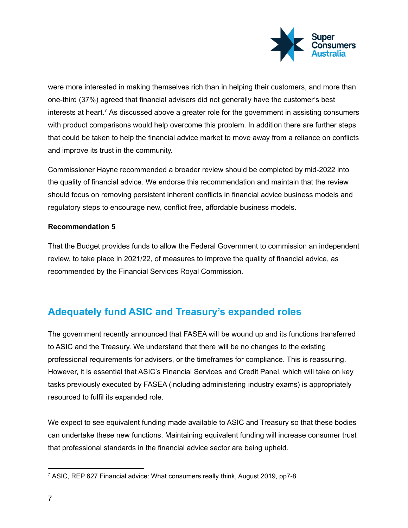

were more interested in making themselves rich than in helping their customers, and more than one-third (37%) agreed that financial advisers did not generally have the customer's best interests at heart.<sup>7</sup> As discussed above a greater role for the government in assisting consumers with product comparisons would help overcome this problem. In addition there are further steps that could be taken to help the financial advice market to move away from a reliance on conflicts and improve its trust in the community.

Commissioner Hayne recommended a broader review should be completed by mid-2022 into the quality of financial advice. We endorse this recommendation and maintain that the review should focus on removing persistent inherent conflicts in financial advice business models and regulatory steps to encourage new, conflict free, affordable business models.

#### **Recommendation 5**

That the Budget provides funds to allow the Federal Government to commission an independent review, to take place in 2021/22, of measures to improve the quality of financial advice, as recommended by the Financial Services Royal Commission.

# <span id="page-6-0"></span>**Adequately fund ASIC and Treasury's expanded roles**

The government recently announced that FASEA will be wound up and its functions transferred to ASIC and the Treasury. We understand that there will be no changes to the existing professional requirements for advisers, or the timeframes for compliance. This is reassuring. However, it is essential that ASIC's Financial Services and Credit Panel, which will take on key tasks previously executed by FASEA (including administering industry exams) is appropriately resourced to fulfil its expanded role.

We expect to see equivalent funding made available to ASIC and Treasury so that these bodies can undertake these new functions. Maintaining equivalent funding will increase consumer trust that professional standards in the financial advice sector are being upheld.

<sup>7</sup> ASIC, REP 627 Financial advice: What consumers really think, August 2019, pp7-8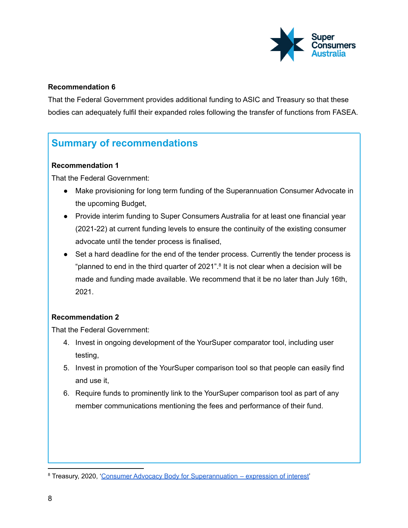

#### **Recommendation 6**

That the Federal Government provides additional funding to ASIC and Treasury so that these bodies can adequately fulfil their expanded roles following the transfer of functions from FASEA.

# <span id="page-7-0"></span>**Summary of recommendations**

#### **Recommendation 1**

That the Federal Government:

- Make provisioning for long term funding of the Superannuation Consumer Advocate in the upcoming Budget,
- Provide interim funding to Super Consumers Australia for at least one financial year (2021-22) at current funding levels to ensure the continuity of the existing consumer advocate until the tender process is finalised,
- Set a hard deadline for the end of the tender process. Currently the tender process is "planned to end in the third quarter of 2021".<sup>8</sup> It is not clear when a decision will be made and funding made available. We recommend that it be no later than July 16th, 2021.

#### **Recommendation 2**

That the Federal Government:

- 4. Invest in ongoing development of the YourSuper comparator tool, including user testing,
- 5. Invest in promotion of the YourSuper comparison tool so that people can easily find and use it,
- 6. Require funds to prominently link to the YourSuper comparison tool as part of any member communications mentioning the fees and performance of their fund.

<sup>8</sup> Treasury, 2020, 'Consumer Advocacy Body for [Superannuation](https://treasury.gov.au/consultation/c2019-38640) – expression of interest'